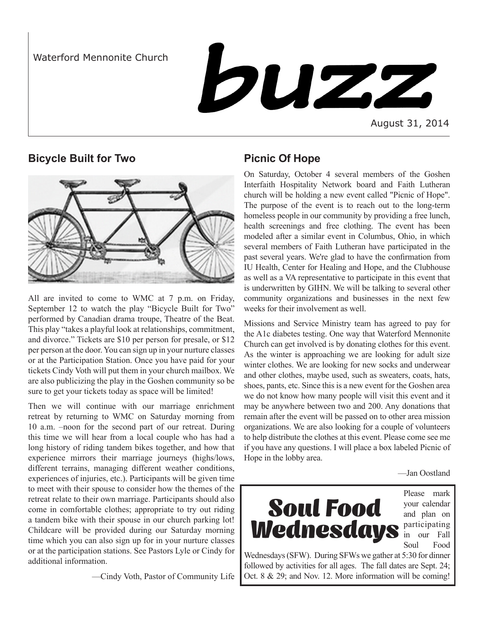Waterford Mennonite Church

buzz

August 31, 2014

# **Bicycle Built for Two**



All are invited to come to WMC at 7 p.m. on Friday, September 12 to watch the play "Bicycle Built for Two" performed by Canadian drama troupe, Theatre of the Beat. This play "takes a playful look at relationships, commitment, and divorce." Tickets are \$10 per person for presale, or \$12 per person at the door. You can sign up in your nurture classes or at the Participation Station. Once you have paid for your tickets Cindy Voth will put them in your church mailbox. We are also publicizing the play in the Goshen community so be sure to get your tickets today as space will be limited!

Then we will continue with our marriage enrichment retreat by returning to WMC on Saturday morning from 10 a.m. –noon for the second part of our retreat. During this time we will hear from a local couple who has had a long history of riding tandem bikes together, and how that experience mirrors their marriage journeys (highs/lows, different terrains, managing different weather conditions, experiences of injuries, etc.). Participants will be given time to meet with their spouse to consider how the themes of the retreat relate to their own marriage. Participants should also come in comfortable clothes; appropriate to try out riding a tandem bike with their spouse in our church parking lot! Childcare will be provided during our Saturday morning time which you can also sign up for in your nurture classes or at the participation stations. See Pastors Lyle or Cindy for additional information.

—Cindy Voth, Pastor of Community Life

# **Picnic Of Hope**

On Saturday, October 4 several members of the Goshen Interfaith Hospitality Network board and Faith Lutheran church will be holding a new event called "Picnic of Hope". The purpose of the event is to reach out to the long-term homeless people in our community by providing a free lunch, health screenings and free clothing. The event has been modeled after a similar event in Columbus, Ohio, in which several members of Faith Lutheran have participated in the past several years. We're glad to have the confirmation from IU Health, Center for Healing and Hope, and the Clubhouse as well as a VA representative to participate in this event that is underwritten by GIHN. We will be talking to several other community organizations and businesses in the next few weeks for their involvement as well.

Missions and Service Ministry team has agreed to pay for the A1c diabetes testing. One way that Waterford Mennonite Church can get involved is by donating clothes for this event. As the winter is approaching we are looking for adult size winter clothes. We are looking for new socks and underwear and other clothes, maybe used, such as sweaters, coats, hats, shoes, pants, etc. Since this is a new event for the Goshen area we do not know how many people will visit this event and it may be anywhere between two and 200. Any donations that remain after the event will be passed on to other area mission organizations. We are also looking for a couple of volunteers to help distribute the clothes at this event. Please come see me if you have any questions. I will place a box labeled Picnic of Hope in the lobby area.

—Jan Oostland



Please mark your calendar and plan on participating in our Fall Soul Food

Wednesdays (SFW). During SFWs we gather at 5:30 for dinner followed by activities for all ages. The fall dates are Sept. 24; Oct. 8 & 29; and Nov. 12. More information will be coming!